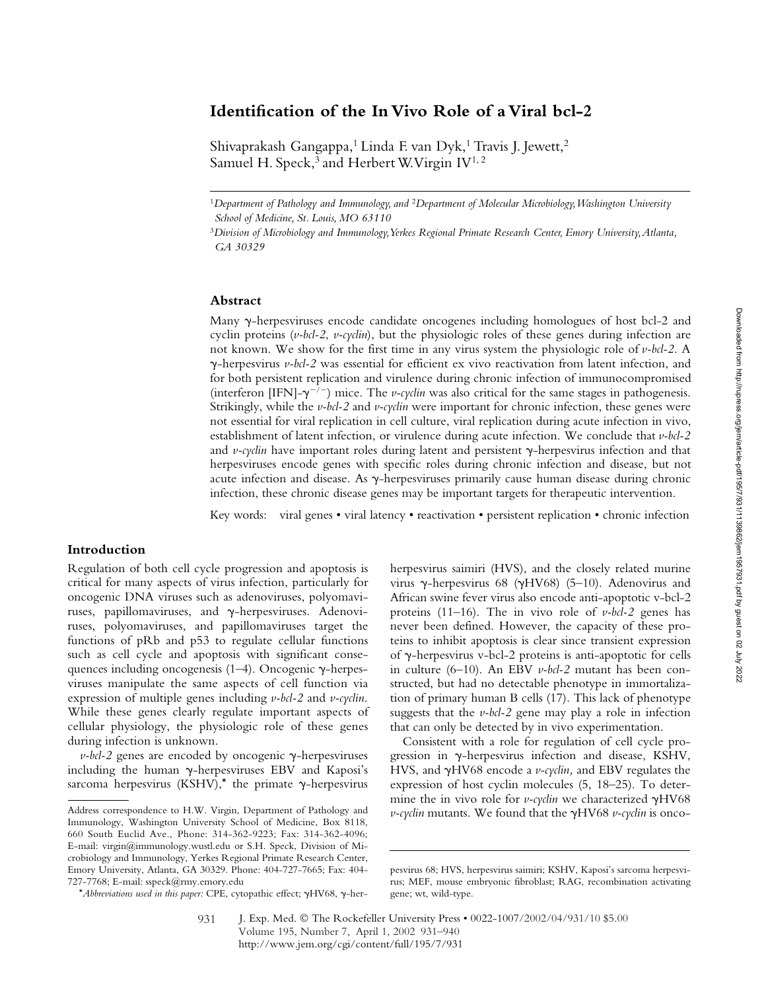# **Identification of the In Vivo Role of a Viral bcl-2**

Shivaprakash Gangappa,<sup>1</sup> Linda F. van Dyk,<sup>1</sup> Travis J. Jewett,<sup>2</sup> Samuel H. Speck,<sup>3</sup> and Herbert W. Virgin  $IV^{1,2}$ 

<sup>1</sup>*Department of Pathology and Immunology, and* <sup>2</sup>*Department of Molecular Microbiology, Washington University School of Medicine, St. Louis, MO 63110*

### **Abstract**

Many y-herpesviruses encode candidate oncogenes including homologues of host bcl-2 and cyclin proteins (*v-bcl-2*, *v-cyclin*), but the physiologic roles of these genes during infection are not known. We show for the first time in any virus system the physiologic role of *v-bcl-2*. A --herpesvirus *v-bcl-2* was essential for efficient ex vivo reactivation from latent infection, and for both persistent replication and virulence during chronic infection of immunocompromised (interferon [IFN]- $\gamma^{-/-}$ ) mice. The *v-cyclin* was also critical for the same stages in pathogenesis. Strikingly, while the *v-bcl-2* and *v-cyclin* were important for chronic infection, these genes were not essential for viral replication in cell culture, viral replication during acute infection in vivo, establishment of latent infection, or virulence during acute infection. We conclude that *v-bcl-2* and *v-cyclin* have important roles during latent and persistent y-herpesvirus infection and that herpesviruses encode genes with specific roles during chronic infection and disease, but not acute infection and disease. As  $\gamma$ -herpesviruses primarily cause human disease during chronic infection, these chronic disease genes may be important targets for therapeutic intervention.

Key words: viral genes • viral latency • reactivation • persistent replication • chronic infection

## **Introduction**

Regulation of both cell cycle progression and apoptosis is critical for many aspects of virus infection, particularly for oncogenic DNA viruses such as adenoviruses, polyomaviruses, papillomaviruses, and  $\gamma$ -herpesviruses. Adenoviruses, polyomaviruses, and papillomaviruses target the functions of pRb and p53 to regulate cellular functions such as cell cycle and apoptosis with significant consequences including oncogenesis  $(1-4)$ . Oncogenic  $\gamma$ -herpesviruses manipulate the same aspects of cell function via expression of multiple genes including *v-bcl-2* and *v-cyclin*. While these genes clearly regulate important aspects of cellular physiology, the physiologic role of these genes during infection is unknown.

 $\nu$ -bcl-2 genes are encoded by oncogenic  $\gamma$ -herpesviruses including the human  $\gamma$ -herpesviruses EBV and Kaposi's sarcoma herpesvirus (KSHV),\* the primate  $\gamma$ -herpesvirus

\*Abbreviations used in this paper: CPE, cytopathic effect;  $\gamma$ HV68,  $\gamma$ -her-

herpesvirus saimiri (HVS), and the closely related murine virus y-herpesvirus 68 (yHV68) (5-10). Adenovirus and African swine fever virus also encode anti-apoptotic v-bcl-2 proteins (11–16). The in vivo role of *v-bcl-2* genes has never been defined. However, the capacity of these proteins to inhibit apoptosis is clear since transient expression of y-herpesvirus v-bcl-2 proteins is anti-apoptotic for cells in culture (6–10). An EBV *v-bcl-2* mutant has been constructed, but had no detectable phenotype in immortalization of primary human B cells (17). This lack of phenotype suggests that the *v-bcl-2* gene may play a role in infection that can only be detected by in vivo experimentation.

Consistent with a role for regulation of cell cycle progression in  $\gamma$ -herpesvirus infection and disease, KSHV, HVS, and  $\gamma$ HV68 encode a *v-cyclin*, and EBV regulates the expression of host cyclin molecules (5, 18–25). To determine the in vivo role for *v-cyclin* we characterized  $\gamma$ HV68

<sup>3</sup>*Division of Microbiology and Immunology, Yerkes Regional Primate Research Center, Emory University, Atlanta, GA 30329*

Address correspondence to H.W. Virgin, Department of Pathology and v-cyclin mutants. We found that the  $\gamma$ HV68 *v*-cyclin is onco-Immunology, Washington University School of Medicine, Box 8118, 660 South Euclid Ave., Phone: 314-362-9223; Fax: 314-362-4096; E-mail: virgin@immunology.wustl.edu or S.H. Speck, Division of Microbiology and Immunology, Yerkes Regional Primate Research Center, Emory University, Atlanta, GA 30329. Phone: 404-727-7665; Fax: 404- 727-7768; E-mail: sspeck@rmy.emory.edu

pesvirus 68; HVS, herpesvirus saimiri; KSHV, Kaposi's sarcoma herpesvirus; MEF, mouse embryonic fibroblast; RAG, recombination activating gene; wt, wild-type.

J. Exp. Med. © The Rockefeller University Press • 0022-1007/2002/04/931/10 \$5.00 Volume 195, Number 7, April 1, 2002 931–940 http://www.jem.org/cgi/content/full/195/7/931 931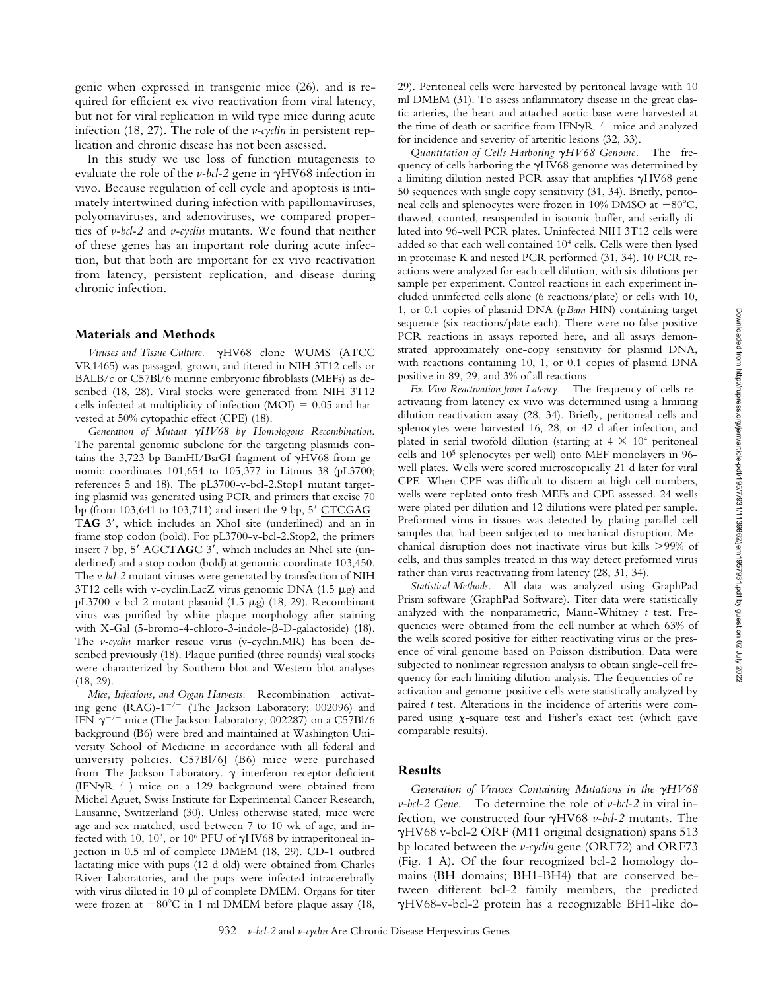genic when expressed in transgenic mice (26), and is required for efficient ex vivo reactivation from viral latency, but not for viral replication in wild type mice during acute infection (18, 27). The role of the *v-cyclin* in persistent replication and chronic disease has not been assessed.

In this study we use loss of function mutagenesis to evaluate the role of the  $\nu$ -bcl-2 gene in  $\gamma$ HV68 infection in vivo. Because regulation of cell cycle and apoptosis is intimately intertwined during infection with papillomaviruses, polyomaviruses, and adenoviruses, we compared properties of *v-bcl-2* and *v-cyclin* mutants. We found that neither of these genes has an important role during acute infection, but that both are important for ex vivo reactivation from latency, persistent replication, and disease during chronic infection.

#### **Materials and Methods**

*Viruses and Tissue Culture.* -HV68 clone WUMS (ATCC VR1465) was passaged, grown, and titered in NIH 3T12 cells or BALB/c or C57Bl/6 murine embryonic fibroblasts (MEFs) as described (18, 28). Viral stocks were generated from NIH 3T12 cells infected at multiplicity of infection (MOI)  $= 0.05$  and harvested at 50% cytopathic effect (CPE) (18).

Generation of Mutant  $\gamma H V68$  by Homologous Recombination. The parental genomic subclone for the targeting plasmids contains the 3,723 bp BamHI/BsrGI fragment of  $\gamma$ HV68 from genomic coordinates 101,654 to 105,377 in Litmus 38 (pL3700; references 5 and 18). The pL3700-v-bcl-2.Stop1 mutant targeting plasmid was generated using PCR and primers that excise 70 bp (from  $103,641$  to  $103,711$ ) and insert the 9 bp, 5' CTCGAG-TAG 3', which includes an XhoI site (underlined) and an in frame stop codon (bold). For pL3700-v-bcl-2.Stop2, the primers insert 7 bp, 5' AGCTAGC 3', which includes an NheI site (underlined) and a stop codon (bold) at genomic coordinate 103,450. The *v-bcl-2* mutant viruses were generated by transfection of NIH  $3T12$  cells with v-cyclin. LacZ virus genomic DNA (1.5  $\mu$ g) and pL3700-v-bcl-2 mutant plasmid  $(1.5 \mu g)$   $(18, 29)$ . Recombinant virus was purified by white plaque morphology after staining with X-Gal  $(5\textrm{-}b$ romo-4-chloro-3-indole- $\beta$ -D-galactoside)  $(18)$ . The *v-cyclin* marker rescue virus (v-cyclin.MR) has been described previously (18). Plaque purified (three rounds) viral stocks were characterized by Southern blot and Western blot analyses (18, 29).

*Mice, Infections, and Organ Harvests.* Recombination activating gene (RAG)- $1^{-/-}$  (The Jackson Laboratory; 002096) and IFN- $\gamma^{-/-}$  mice (The Jackson Laboratory; 002287) on a C57Bl/6 background (B6) were bred and maintained at Washington University School of Medicine in accordance with all federal and university policies. C57Bl/6J (B6) mice were purchased from The Jackson Laboratory.  $\gamma$  interferon receptor-deficient (IFN $\gamma$ R<sup>-/-</sup>) mice on a 129 background were obtained from Michel Aguet, Swiss Institute for Experimental Cancer Research, Lausanne, Switzerland (30). Unless otherwise stated, mice were age and sex matched, used between 7 to 10 wk of age, and infected with 10, 10<sup>3</sup>, or 10<sup>6</sup> PFU of  $\gamma$ HV68 by intraperitoneal injection in 0.5 ml of complete DMEM (18, 29). CD-1 outbred lactating mice with pups (12 d old) were obtained from Charles River Laboratories, and the pups were infected intracerebrally with virus diluted in 10  $\mu$ l of complete DMEM. Organs for titer were frozen at  $-80^{\circ}$ C in 1 ml DMEM before plaque assay (18, 29). Peritoneal cells were harvested by peritoneal lavage with 10 ml DMEM (31). To assess inflammatory disease in the great elastic arteries, the heart and attached aortic base were harvested at the time of death or sacrifice from IFN $\gamma$ R<sup>-/-</sup> mice and analyzed for incidence and severity of arteritic lesions (32, 33).

Quantitation of Cells Harboring  $\gamma$ HV68 Genome. The frequency of cells harboring the  $\gamma$ HV68 genome was determined by a limiting dilution nested PCR assay that amplifies  $\gamma$ HV68 gene 50 sequences with single copy sensitivity (31, 34). Briefly, peritoneal cells and splenocytes were frozen in 10% DMSO at  $-80^{\circ}$ C, thawed, counted, resuspended in isotonic buffer, and serially diluted into 96-well PCR plates. Uninfected NIH 3T12 cells were added so that each well contained 104 cells. Cells were then lysed in proteinase K and nested PCR performed (31, 34). 10 PCR reactions were analyzed for each cell dilution, with six dilutions per sample per experiment. Control reactions in each experiment included uninfected cells alone (6 reactions/plate) or cells with 10, 1, or 0.1 copies of plasmid DNA (p*Bam* HIN) containing target sequence (six reactions/plate each). There were no false-positive PCR reactions in assays reported here, and all assays demonstrated approximately one-copy sensitivity for plasmid DNA, with reactions containing 10, 1, or 0.1 copies of plasmid DNA positive in 89, 29, and 3% of all reactions.

*Ex Vivo Reactivation from Latency.* The frequency of cells reactivating from latency ex vivo was determined using a limiting dilution reactivation assay (28, 34). Briefly, peritoneal cells and splenocytes were harvested 16, 28, or 42 d after infection, and plated in serial twofold dilution (starting at  $4 \times 10^4$  peritoneal cells and 105 splenocytes per well) onto MEF monolayers in 96 well plates. Wells were scored microscopically 21 d later for viral CPE. When CPE was difficult to discern at high cell numbers, wells were replated onto fresh MEFs and CPE assessed. 24 wells were plated per dilution and 12 dilutions were plated per sample. Preformed virus in tissues was detected by plating parallel cell samples that had been subjected to mechanical disruption. Mechanical disruption does not inactivate virus but kills 99% of cells, and thus samples treated in this way detect preformed virus rather than virus reactivating from latency (28, 31, 34).

*Statistical Methods.* All data was analyzed using GraphPad Prism software (GraphPad Software). Titer data were statistically analyzed with the nonparametric, Mann-Whitney *t* test. Frequencies were obtained from the cell number at which 63% of the wells scored positive for either reactivating virus or the presence of viral genome based on Poisson distribution. Data were subjected to nonlinear regression analysis to obtain single-cell frequency for each limiting dilution analysis. The frequencies of reactivation and genome-positive cells were statistically analyzed by paired *t* test. Alterations in the incidence of arteritis were compared using  $\chi$ -square test and Fisher's exact test (which gave comparable results).

#### **Results**

Generation of Viruses Containing Mutations in the  $\gamma H V68$ *v-bcl-2 Gene.* To determine the role of *v-bcl-2* in viral infection, we constructed four  $\gamma$ HV68 *v-bcl-2* mutants. The -HV68 v-bcl-2 ORF (M11 original designation) spans 513 bp located between the *v-cyclin* gene (ORF72) and ORF73 (Fig. 1 A). Of the four recognized bcl-2 homology domains (BH domains; BH1-BH4) that are conserved between different bcl-2 family members, the predicted -HV68-v-bcl-2 protein has a recognizable BH1-like do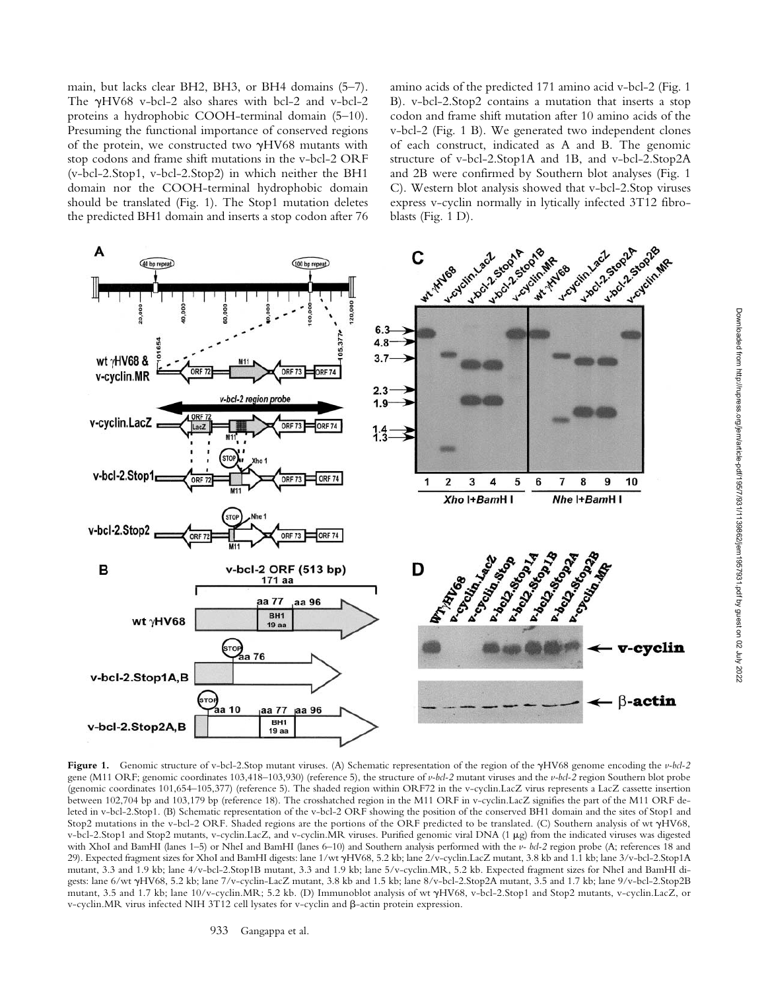main, but lacks clear BH2, BH3, or BH4 domains (5–7). The  $\gamma$ HV68 v-bcl-2 also shares with bcl-2 and v-bcl-2 proteins a hydrophobic COOH-terminal domain (5–10). Presuming the functional importance of conserved regions of the protein, we constructed two  $\gamma$ HV68 mutants with stop codons and frame shift mutations in the v-bcl-2 ORF (v-bcl-2.Stop1, v-bcl-2.Stop2) in which neither the BH1 domain nor the COOH-terminal hydrophobic domain should be translated (Fig. 1). The Stop1 mutation deletes the predicted BH1 domain and inserts a stop codon after 76 amino acids of the predicted 171 amino acid v-bcl-2 (Fig. 1 B). v-bcl-2.Stop2 contains a mutation that inserts a stop codon and frame shift mutation after 10 amino acids of the v-bcl-2 (Fig. 1 B). We generated two independent clones of each construct, indicated as A and B. The genomic structure of v-bcl-2.Stop1A and 1B, and v-bcl-2.Stop2A and 2B were confirmed by Southern blot analyses (Fig. 1 C). Western blot analysis showed that v-bcl-2.Stop viruses express v-cyclin normally in lytically infected 3T12 fibroblasts (Fig. 1 D).



Figure 1. Genomic structure of v-bcl-2.Stop mutant viruses. (A) Schematic representation of the region of the  $\gamma$ HV68 genome encoding the v-bcl-2 gene (M11 ORF; genomic coordinates 103,418–103,930) (reference 5), the structure of *v-bcl-2* mutant viruses and the *v-bcl-2* region Southern blot probe (genomic coordinates 101,654–105,377) (reference 5). The shaded region within ORF72 in the v-cyclin.LacZ virus represents a LacZ cassette insertion between 102,704 bp and 103,179 bp (reference 18). The crosshatched region in the M11 ORF in v-cyclin.LacZ signifies the part of the M11 ORF deleted in v-bcl-2.Stop1. (B) Schematic representation of the v-bcl-2 ORF showing the position of the conserved BH1 domain and the sites of Stop1 and Stop2 mutations in the v-bcl-2 ORF. Shaded regions are the portions of the ORF predicted to be translated. (C) Southern analysis of wt yHV68, v-bcl-2.Stop1 and Stop2 mutants, v-cyclin.LacZ, and v-cyclin.MR viruses. Purified genomic viral DNA (1 g) from the indicated viruses was digested with XhoI and BamHI (lanes 1–5) or NheI and BamHI (lanes 6–10) and Southern analysis performed with the *v- bcl-2* region probe (A; references 18 and 29). Expected fragment sizes for XhoI and BamHI digests: lane 1/wt  $\gamma$ HV68, 5.2 kb; lane 2/v-cyclin.LacZ mutant, 3.8 kb and 1.1 kb; lane 3/v-bcl-2.Stop1A mutant, 3.3 and 1.9 kb; lane 4/v-bcl-2.Stop1B mutant, 3.3 and 1.9 kb; lane 5/v-cyclin.MR, 5.2 kb. Expected fragment sizes for NheI and BamHI digests: lane 6/wt  $\gamma$ HV68, 5.2 kb; lane 7/v-cyclin-LacZ mutant, 3.8 kb and 1.5 kb; lane 8/v-bcl-2.Stop2A mutant, 3.5 and 1.7 kb; lane 9/v-bcl-2.Stop2B mutant, 3.5 and 1.7 kb; lane 10/v-cyclin.MR; 5.2 kb. (D) Immunoblot analysis of wt  $\gamma$ HV68, v-bcl-2.Stop1 and Stop2 mutants, v-cyclin.LacZ, or v-cyclin. MR virus infected NIH 3T12 cell lysates for v-cyclin and  $\beta$ -actin protein expression.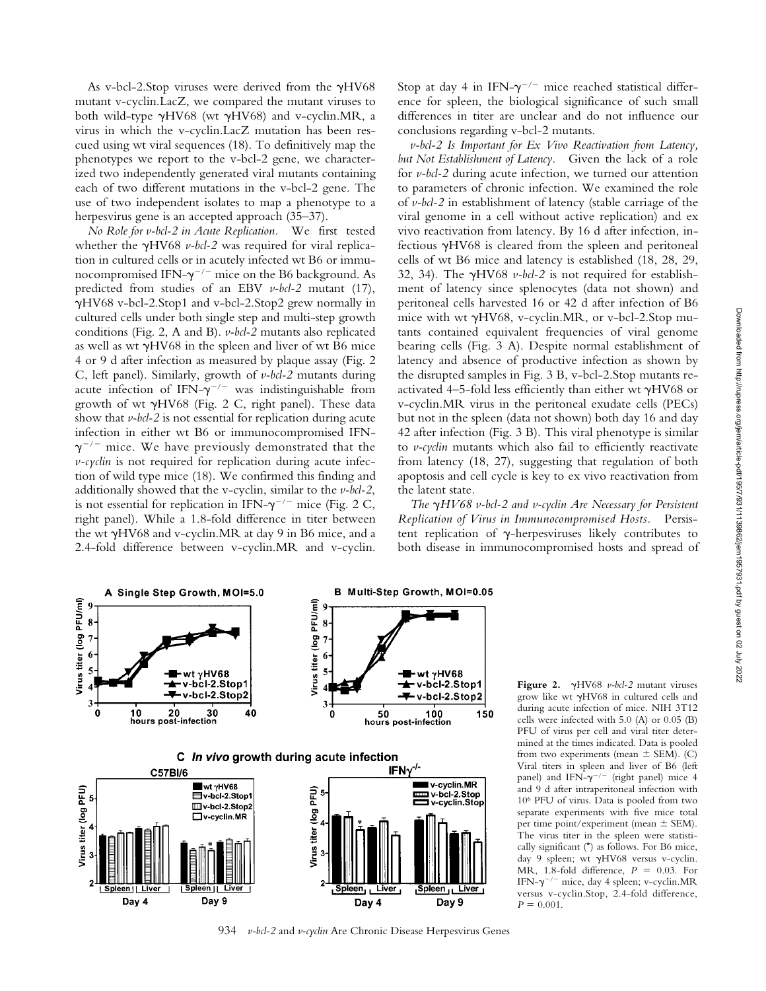As v-bcl-2. Stop viruses were derived from the  $\gamma$ HV68 mutant v-cyclin.LacZ, we compared the mutant viruses to both wild-type  $\gamma$ HV68 (wt  $\gamma$ HV68) and v-cyclin.MR, a virus in which the v-cyclin.LacZ mutation has been rescued using wt viral sequences (18). To definitively map the phenotypes we report to the v-bcl-2 gene, we characterized two independently generated viral mutants containing each of two different mutations in the v-bcl-2 gene. The use of two independent isolates to map a phenotype to a herpesvirus gene is an accepted approach  $(35-37)$ .

*No Role for v-bcl-2 in Acute Replication.* We first tested whether the  $\gamma$ HV68 *v-bcl-2* was required for viral replication in cultured cells or in acutely infected wt B6 or immunocompromised IFN- $\gamma^{-/-}$  mice on the B6 background. As predicted from studies of an EBV *v-bcl-2* mutant (17), -HV68 v-bcl-2.Stop1 and v-bcl-2.Stop2 grew normally in cultured cells under both single step and multi-step growth conditions (Fig. 2, A and B). *v-bcl-2* mutants also replicated as well as wt  $\gamma$ HV68 in the spleen and liver of wt B6 mice 4 or 9 d after infection as measured by plaque assay (Fig. 2 C, left panel). Similarly, growth of *v-bcl-2* mutants during acute infection of IFN- $\gamma^{-/-}$  was indistinguishable from growth of wt  $\gamma$ HV68 (Fig. 2 C, right panel). These data show that *v-bcl-2* is not essential for replication during acute infection in either wt B6 or immunocompromised IFN-  $\gamma^{-/-}$  mice. We have previously demonstrated that the *v-cyclin* is not required for replication during acute infection of wild type mice (18). We confirmed this finding and additionally showed that the v-cyclin, similar to the *v-bcl-2*, is not essential for replication in IFN- $\gamma^{-/-}$  mice (Fig. 2 C, right panel). While a 1.8-fold difference in titer between the wt  $\gamma$ HV68 and v-cyclin.MR at day 9 in B6 mice, and a 2.4-fold difference between v-cyclin.MR and v-cyclin.

Stop at day 4 in IFN- $\gamma^{-/-}$  mice reached statistical difference for spleen, the biological significance of such small differences in titer are unclear and do not influence our conclusions regarding v-bcl-2 mutants.

*v-bcl-2 Is Important for Ex Vivo Reactivation from Latency, but Not Establishment of Latency.* Given the lack of a role for *v-bcl-2* during acute infection, we turned our attention to parameters of chronic infection. We examined the role of *v-bcl-2* in establishment of latency (stable carriage of the viral genome in a cell without active replication) and ex vivo reactivation from latency. By 16 d after infection, infectious  $\gamma$ HV68 is cleared from the spleen and peritoneal cells of wt B6 mice and latency is established (18, 28, 29, 32, 34). The  $\gamma$ HV68 *v-bcl-2* is not required for establishment of latency since splenocytes (data not shown) and peritoneal cells harvested 16 or 42 d after infection of B6 mice with wt  $\gamma$ HV68, v-cyclin.MR, or v-bcl-2.Stop mutants contained equivalent frequencies of viral genome bearing cells (Fig. 3 A). Despite normal establishment of latency and absence of productive infection as shown by the disrupted samples in Fig. 3 B, v-bcl-2.Stop mutants reactivated 4–5-fold less efficiently than either wt  $\gamma$ HV68 or v-cyclin.MR virus in the peritoneal exudate cells (PECs) but not in the spleen (data not shown) both day 16 and day 42 after infection (Fig. 3 B). This viral phenotype is similar to *v-cyclin* mutants which also fail to efficiently reactivate from latency (18, 27), suggesting that regulation of both apoptosis and cell cycle is key to ex vivo reactivation from the latent state.

The  $\gamma H V$ 68 v-bcl-2 and v-cyclin Are Necessary for Persistent *Replication of Virus in Immunocompromised Hosts.* Persistent replication of  $\gamma$ -herpesviruses likely contributes to both disease in immunocompromised hosts and spread of



934 *v-bcl-2* and *v-cyclin* Are Chronic Disease Herpesvirus Genes

Figure 2. γHV68 *v-bcl-2* mutant viruses grow like wt  $\gamma$ HV68 in cultured cells and during acute infection of mice. NIH 3T12 cells were infected with 5.0 (A) or 0.05 (B) PFU of virus per cell and viral titer determined at the times indicated. Data is pooled from two experiments (mean  $\pm$  SEM). (C) Viral titers in spleen and liver of B6 (left panel) and IFN- $\gamma^{-/-}$  (right panel) mice 4 and 9 d after intraperitoneal infection with 106 PFU of virus. Data is pooled from two separate experiments with five mice total per time point/experiment (mean  $\pm$  SEM). The virus titer in the spleen were statistically significant (\*) as follows. For B6 mice, day 9 spleen; wt  $\gamma$ HV68 versus v-cyclin. MR, 1.8-fold difference,  $P = 0.03$ . For IFN- $\gamma^{-/-}$  mice, day 4 spleen; v-cyclin.MR versus v-cyclin.Stop, 2.4-fold difference,  $P = 0.001$ .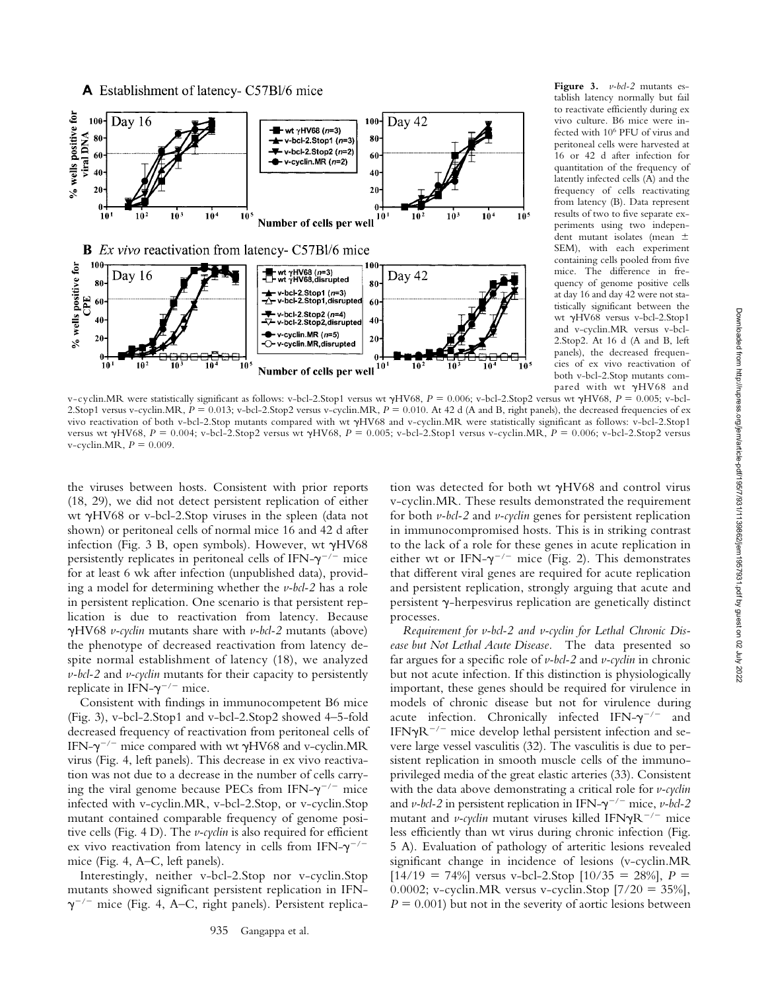

**Figure 3.** *v-bcl-2* mutants establish latency normally but fail to reactivate efficiently during ex vivo culture. B6 mice were infected with 106 PFU of virus and peritoneal cells were harvested at 16 or 42 d after infection for quantitation of the frequency of latently infected cells (A) and the frequency of cells reactivating from latency (B). Data represent results of two to five separate experiments using two independent mutant isolates (mean  SEM), with each experiment containing cells pooled from five mice. The difference in frequency of genome positive cells at day 16 and day 42 were not statistically significant between the wt γHV68 versus v-bcl-2.Stop1 and v-cyclin.MR versus v-bcl-2.Stop2. At 16 d (A and B, left panels), the decreased frequencies of ex vivo reactivation of both v-bcl-2.Stop mutants compared with wt  $\gamma$ HV68 and

v-cyclin.MR were statistically significant as follows: v-bcl-2.Stop1 versus wt  $\gamma$ HV68, *P* = 0.006; v-bcl-2.Stop2 versus wt  $\gamma$ HV68, *P* = 0.005; v-bcl-2.Stop1 versus v-cyclin.MR,  $P = 0.013$ ; v-bcl-2.Stop2 versus v-cyclin.MR,  $P = 0.010$ . At 42 d (A and B, right panels), the decreased frequencies of ex vivo reactivation of both v-bcl-2.Stop mutants compared with wt  $\gamma$ HV68 and v-cyclin.MR were statistically significant as follows: v-bcl-2.Stop1 versus wt γHV68, *P* = 0.004; v-bcl-2.Stop2 versus wt γHV68, *P* = 0.005; v-bcl-2.Stop1 versus v-cyclin.MR, *P* = 0.006; v-bcl-2.Stop2 versus v-cyclin.MR,  $P = 0.009$ .

the viruses between hosts. Consistent with prior reports (18, 29), we did not detect persistent replication of either wt yHV68 or v-bcl-2.Stop viruses in the spleen (data not shown) or peritoneal cells of normal mice 16 and 42 d after infection (Fig. 3 B, open symbols). However, wt  $\gamma$ HV68 persistently replicates in peritoneal cells of IFN- $\gamma^{-/-}$  mice for at least 6 wk after infection (unpublished data), providing a model for determining whether the *v-bcl-2* has a role in persistent replication. One scenario is that persistent replication is due to reactivation from latency. Because -HV68 *v-cyclin* mutants share with *v-bcl-2* mutants (above) the phenotype of decreased reactivation from latency despite normal establishment of latency (18), we analyzed *v-bcl-2* and *v-cyclin* mutants for their capacity to persistently replicate in IFN- $\gamma^{-/-}$  mice.

Consistent with findings in immunocompetent B6 mice (Fig. 3), v-bcl-2.Stop1 and v-bcl-2.Stop2 showed 4–5-fold decreased frequency of reactivation from peritoneal cells of IFN- $\gamma^{-/-}$  mice compared with wt  $\gamma$ HV68 and v-cyclin.MR virus (Fig. 4, left panels). This decrease in ex vivo reactivation was not due to a decrease in the number of cells carrying the viral genome because PECs from IFN- $\gamma^{-/-}$  mice infected with v-cyclin.MR, v-bcl-2.Stop, or v-cyclin.Stop mutant contained comparable frequency of genome positive cells (Fig. 4 D). The *v-cyclin* is also required for efficient ex vivo reactivation from latency in cells from IFN- $\gamma^{-/-}$ mice (Fig. 4, A–C, left panels).

Interestingly, neither v-bcl-2.Stop nor v-cyclin.Stop mutants showed significant persistent replication in IFN-  $\gamma^{-/-}$  mice (Fig. 4, A–C, right panels). Persistent replica-

tion was detected for both wt  $\gamma$ HV68 and control virus v-cyclin.MR. These results demonstrated the requirement for both *v-bcl-2* and *v-cyclin* genes for persistent replication in immunocompromised hosts. This is in striking contrast to the lack of a role for these genes in acute replication in either wt or IFN- $\gamma^{-/-}$  mice (Fig. 2). This demonstrates that different viral genes are required for acute replication and persistent replication, strongly arguing that acute and persistent  $\gamma$ -herpesvirus replication are genetically distinct processes.

*Requirement for v-bcl-2 and v-cyclin for Lethal Chronic Disease but Not Lethal Acute Disease.* The data presented so far argues for a specific role of *v-bcl-2* and *v-cyclin* in chronic but not acute infection. If this distinction is physiologically important, these genes should be required for virulence in models of chronic disease but not for virulence during acute infection. Chronically infected IFN- $\gamma^{-/-}$  and IFN $\gamma$ R<sup>-/-</sup> mice develop lethal persistent infection and severe large vessel vasculitis (32). The vasculitis is due to persistent replication in smooth muscle cells of the immunoprivileged media of the great elastic arteries (33). Consistent with the data above demonstrating a critical role for *v-cyclin* and *v-bcl-2* in persistent replication in IFN- $\gamma$ <sup>-/-</sup> mice, *v-bcl-2* mutant and *v-cyclin* mutant viruses killed IFN $\gamma$ R<sup>-/-</sup> mice less efficiently than wt virus during chronic infection (Fig. 5 A). Evaluation of pathology of arteritic lesions revealed significant change in incidence of lesions (v-cyclin.MR  $[14/19 = 74\%]$  versus v-bcl-2.Stop  $[10/35 = 28\%]$ ,  $P =$ 0.0002; v-cyclin.MR versus v-cyclin.Stop  $[7/20 = 35\%]$ ,  $P = 0.001$ ) but not in the severity of aortic lesions between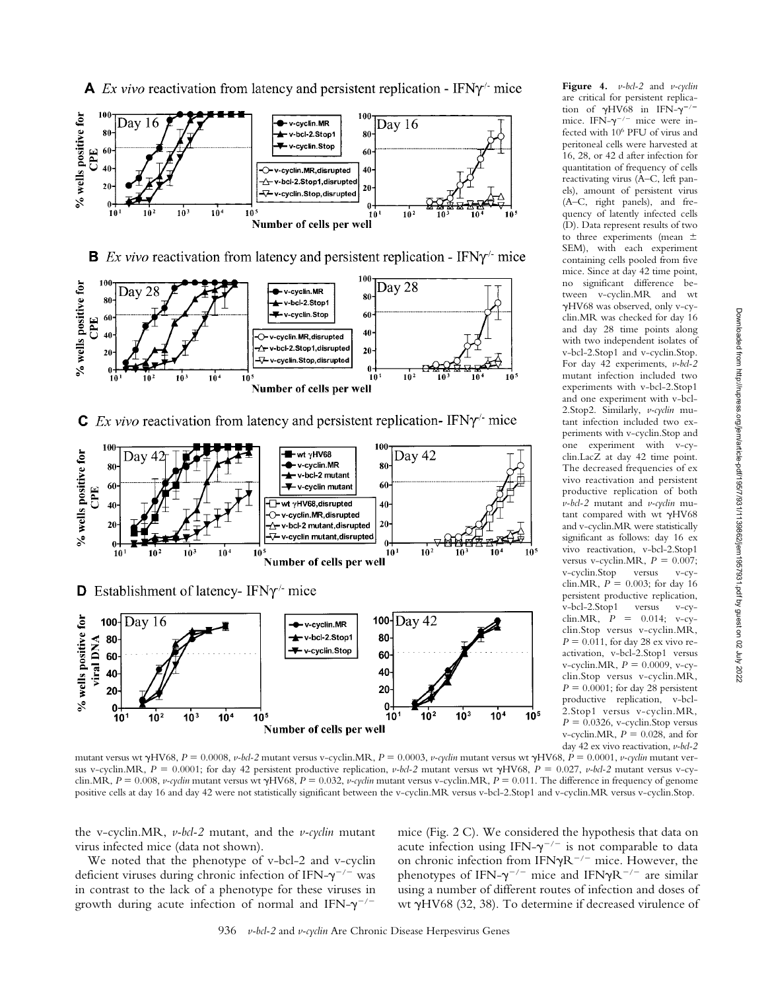

**Figure 4.** *v-bcl-2* and *v-cyclin* are critical for persistent replication of  $\gamma$ HV68 in IFN- $\gamma$ <sup>-/-</sup> mice. IFN- $\gamma$ <sup>-/-</sup> mice were infected with 106 PFU of virus and peritoneal cells were harvested at 16, 28, or 42 d after infection for quantitation of frequency of cells reactivating virus (A–C, left panels), amount of persistent virus (A–C, right panels), and frequency of latently infected cells (D). Data represent results of two to three experiments (mean  $\pm$ SEM), with each experiment containing cells pooled from five mice. Since at day 42 time point, no significant difference between v-cyclin.MR and wt -HV68 was observed, only v-cyclin.MR was checked for day 16 and day 28 time points along with two independent isolates of v-bcl-2.Stop1 and v-cyclin.Stop. For day 42 experiments, *v-bcl-2* mutant infection included two experiments with v-bcl-2.Stop1 and one experiment with v-bcl-2.Stop2. Similarly, *v-cyclin* mutant infection included two experiments with v-cyclin.Stop and one experiment with v-cyclin.LacZ at day 42 time point. The decreased frequencies of ex vivo reactivation and persistent productive replication of both *v-bcl-2* mutant and *v-cyclin* mutant compared with wt  $\gamma$ HV68 and v-cyclin.MR were statistically significant as follows: day 16 ex vivo reactivation, v-bcl-2.Stop1 versus v-cyclin.MR,  $P = 0.007$ ; v-cyclin.Stop versus v-cyclin.MR,  $P = 0.003$ ; for day 16 persistent productive replication, v-bcl-2.Stop1 versus v-cyclin.MR,  $P = 0.014$ ; v-cyclin.Stop versus v-cyclin.MR,  $P = 0.011$ , for day 28 ex vivo reactivation, v-bcl-2.Stop1 versus  $v$ -cyclin.MR,  $P = 0.0009$ ,  $v$ -cyclin.Stop versus v-cyclin.MR,  $P = 0.0001$ ; for day 28 persistent productive replication, v-bcl-2.Stop1 versus v-cyclin.MR,  $P = 0.0326$ , v-cyclin.Stop versus v-cyclin.MR,  $P = 0.028$ , and for

day 42 ex vivo reactivation, *v-bcl-2* mutant versus wt  $\gamma$ HV68,  $P = 0.0008$ , *v-bcl-2* mutant versus v-cyclin.MR,  $P = 0.0003$ , *v-cyclin* mutant versus wt  $\gamma$ HV68,  $P = 0.0001$ , *v-cyclin* mutant versus v-cyclin.MR,  $P = 0.0001$ ; for day 42 persistent productive replication,  $v$ -bcl-2 mutant versus wt  $\gamma$ HV68,  $P = 0.027$ ,  $v$ -bcl-2 mutant versus v-cyclin.MR,  $P = 0.008$ , *v-cydin* mutant versus wt  $\gamma$ HV68,  $P = 0.032$ , *v-cydin* mutant versus v-cyclin.MR,  $P = 0.011$ . The difference in frequency of genome positive cells at day 16 and day 42 were not statistically significant between the v-cyclin.MR versus v-bcl-2.Stop1 and v-cyclin.MR versus v-cyclin.Stop.

the v-cyclin.MR, *v-bcl-2* mutant, and the *v-cyclin* mutant virus infected mice (data not shown).

We noted that the phenotype of v-bcl-2 and v-cyclin deficient viruses during chronic infection of IFN- $\gamma^{-/-}$  was in contrast to the lack of a phenotype for these viruses in growth during acute infection of normal and IFN- $\gamma^{-/-}$ 

mice (Fig. 2 C). We considered the hypothesis that data on acute infection using IFN- $\gamma^{-/-}$  is not comparable to data on chronic infection from IFN $\gamma R^{-/-}$  mice. However, the phenotypes of IFN- $\gamma^{-/-}$  mice and IFN $\gamma \rm R^{-/-}$  are similar using a number of different routes of infection and doses of wt yHV68 (32, 38). To determine if decreased virulence of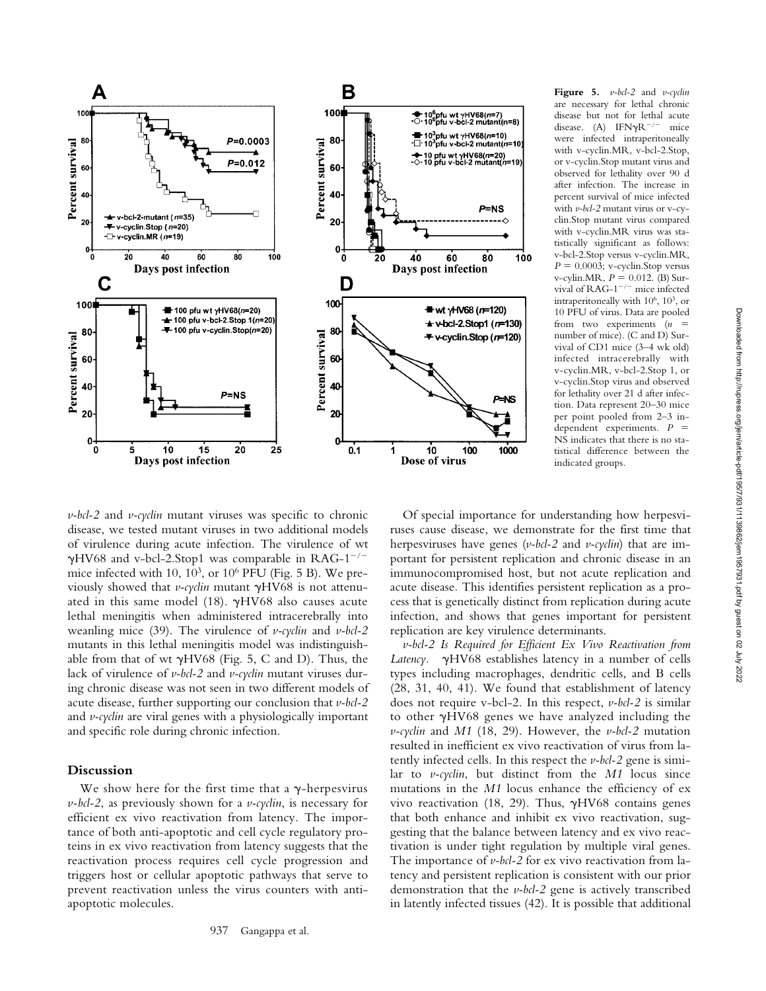

**Figure 5.** *v-bcl-2* and *v-cyclin* are necessary for lethal chronic disease but not for lethal acute disease. (A) IFN $\gamma R^{-/-}$  mice were infected intraperitoneally with v-cyclin.MR, v-bcl-2.Stop, or v-cyclin.Stop mutant virus and observed for lethality over 90 d after infection. The increase in percent survival of mice infected with *v-bcl-2* mutant virus or v-cyclin.Stop mutant virus compared with v-cyclin.MR virus was statistically significant as follows: v-bcl-2.Stop versus v-cyclin.MR,  $P = 0.0003$ ; v-cyclin.Stop versus  $v$ -cylin.MR,  $P = 0.012$ . (B) Survival of  $RAG-1^{-/-}$  mice infected intraperitoneally with  $10^6$ ,  $10^3$ , or 10 PFU of virus. Data are pooled from two experiments (*n*  number of mice). (C and D) Survival of CD1 mice (3–4 wk old) infected intracerebrally with v-cyclin.MR, v-bcl-2.Stop 1, or v-cyclin.Stop virus and observed for lethality over 21 d after infection. Data represent 20–30 mice per point pooled from 2–3 independent experiments. *P*  NS indicates that there is no statistical difference between the indicated groups.

*v-bcl-2* and *v-cyclin* mutant viruses was specific to chronic disease, we tested mutant viruses in two additional models of virulence during acute infection. The virulence of wt  $\gamma$ HV68 and v-bcl-2.Stop1 was comparable in RAG-1<sup>-/-</sup> mice infected with 10,  $10^3$ , or  $10^6$  PFU (Fig. 5 B). We previously showed that *v-cyclin* mutant  $\gamma$ HV68 is not attenuated in this same model (18).  $\gamma$ HV68 also causes acute lethal meningitis when administered intracerebrally into weanling mice (39). The virulence of *v-cyclin* and *v-bcl-2* mutants in this lethal meningitis model was indistinguishable from that of wt  $\gamma$ HV68 (Fig. 5, C and D). Thus, the lack of virulence of *v-bcl-2* and *v-cyclin* mutant viruses during chronic disease was not seen in two different models of acute disease, further supporting our conclusion that *v-bcl-2* and *v-cyclin* are viral genes with a physiologically important and specific role during chronic infection.

## **Discussion**

We show here for the first time that a  $\gamma$ -herpesvirus *v-bcl-2*, as previously shown for a *v-cyclin*, is necessary for efficient ex vivo reactivation from latency. The importance of both anti-apoptotic and cell cycle regulatory proteins in ex vivo reactivation from latency suggests that the reactivation process requires cell cycle progression and triggers host or cellular apoptotic pathways that serve to prevent reactivation unless the virus counters with antiapoptotic molecules.

Of special importance for understanding how herpesviruses cause disease, we demonstrate for the first time that herpesviruses have genes (*v-bcl-2* and *v-cyclin*) that are important for persistent replication and chronic disease in an immunocompromised host, but not acute replication and acute disease*.* This identifies persistent replication as a process that is genetically distinct from replication during acute infection, and shows that genes important for persistent replication are key virulence determinants.

*v-bcl-2 Is Required for Efficient Ex Vivo Reactivation from* Latency.  $\gamma$ HV68 establishes latency in a number of cells types including macrophages, dendritic cells, and B cells (28, 31, 40, 41). We found that establishment of latency does not require v-bcl-2. In this respect, *v-bcl-2* is similar to other  $\gamma$ HV68 genes we have analyzed including the *v-cyclin* and *M1* (18, 29). However, the *v-bcl-2* mutation resulted in inefficient ex vivo reactivation of virus from latently infected cells. In this respect the *v-bcl-2* gene is similar to *v-cyclin*, but distinct from the *M1* locus since mutations in the *M1* locus enhance the efficiency of ex vivo reactivation (18, 29). Thus,  $\gamma$ HV68 contains genes that both enhance and inhibit ex vivo reactivation, suggesting that the balance between latency and ex vivo reactivation is under tight regulation by multiple viral genes. The importance of *v-bcl-2* for ex vivo reactivation from latency and persistent replication is consistent with our prior demonstration that the *v-bcl-2* gene is actively transcribed in latently infected tissues (42). It is possible that additional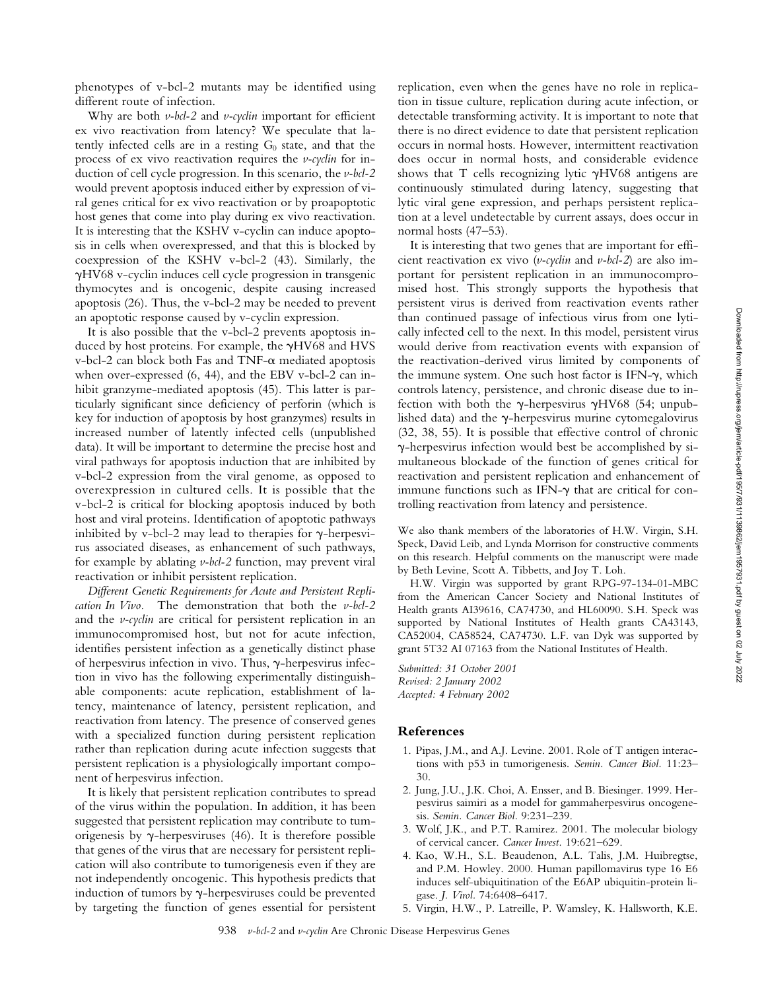phenotypes of v-bcl-2 mutants may be identified using different route of infection.

Why are both *v-bcl-2* and *v-cyclin* important for efficient ex vivo reactivation from latency? We speculate that latently infected cells are in a resting  $G_0$  state, and that the process of ex vivo reactivation requires the *v-cyclin* for induction of cell cycle progression. In this scenario, the *v-bcl-2* would prevent apoptosis induced either by expression of viral genes critical for ex vivo reactivation or by proapoptotic host genes that come into play during ex vivo reactivation. It is interesting that the KSHV v-cyclin can induce apoptosis in cells when overexpressed, and that this is blocked by coexpression of the KSHV v-bcl-2 (43). Similarly, the -HV68 v-cyclin induces cell cycle progression in transgenic thymocytes and is oncogenic, despite causing increased apoptosis (26). Thus, the v-bcl-2 may be needed to prevent an apoptotic response caused by v-cyclin expression.

It is also possible that the v-bcl-2 prevents apoptosis induced by host proteins. For example, the  $\gamma$ HV68 and HVS  $v$ -bcl-2 can block both Fas and TNF- $\alpha$  mediated apoptosis when over-expressed (6, 44), and the EBV v-bcl-2 can inhibit granzyme-mediated apoptosis  $(45)$ . This latter is particularly significant since deficiency of perforin (which is key for induction of apoptosis by host granzymes) results in increased number of latently infected cells (unpublished data). It will be important to determine the precise host and viral pathways for apoptosis induction that are inhibited by v-bcl-2 expression from the viral genome, as opposed to overexpression in cultured cells. It is possible that the v-bcl-2 is critical for blocking apoptosis induced by both host and viral proteins. Identification of apoptotic pathways inhibited by v-bcl-2 may lead to therapies for  $\gamma$ -herpesvirus associated diseases, as enhancement of such pathways, for example by ablating *v-bcl-2* function, may prevent viral reactivation or inhibit persistent replication.

*Different Genetic Requirements for Acute and Persistent Replication In Vivo.* The demonstration that both the *v-bcl-2* and the *v-cyclin* are critical for persistent replication in an immunocompromised host, but not for acute infection, identifies persistent infection as a genetically distinct phase of herpesvirus infection in vivo. Thus,  $\gamma$ -herpesvirus infection in vivo has the following experimentally distinguishable components: acute replication, establishment of latency, maintenance of latency, persistent replication, and reactivation from latency. The presence of conserved genes with a specialized function during persistent replication rather than replication during acute infection suggests that persistent replication is a physiologically important component of herpesvirus infection.

It is likely that persistent replication contributes to spread of the virus within the population. In addition, it has been suggested that persistent replication may contribute to tumorigenesis by  $\gamma$ -herpesviruses (46). It is therefore possible that genes of the virus that are necessary for persistent replication will also contribute to tumorigenesis even if they are not independently oncogenic. This hypothesis predicts that induction of tumors by  $\gamma$ -herpesviruses could be prevented by targeting the function of genes essential for persistent

replication, even when the genes have no role in replication in tissue culture, replication during acute infection, or detectable transforming activity. It is important to note that there is no direct evidence to date that persistent replication occurs in normal hosts. However, intermittent reactivation does occur in normal hosts, and considerable evidence shows that T cells recognizing lytic  $\gamma$ HV68 antigens are continuously stimulated during latency, suggesting that lytic viral gene expression, and perhaps persistent replication at a level undetectable by current assays, does occur in normal hosts (47–53).

It is interesting that two genes that are important for efficient reactivation ex vivo (*v-cyclin* and *v-bcl-2*) are also important for persistent replication in an immunocompromised host. This strongly supports the hypothesis that persistent virus is derived from reactivation events rather than continued passage of infectious virus from one lytically infected cell to the next. In this model, persistent virus would derive from reactivation events with expansion of the reactivation-derived virus limited by components of the immune system. One such host factor is IFN- $\gamma$ , which controls latency, persistence, and chronic disease due to infection with both the  $\gamma$ -herpesvirus  $\gamma$ HV68 (54; unpublished data) and the  $\gamma$ -herpesvirus murine cytomegalovirus (32, 38, 55). It is possible that effective control of chronic --herpesvirus infection would best be accomplished by simultaneous blockade of the function of genes critical for reactivation and persistent replication and enhancement of immune functions such as IFN- $\gamma$  that are critical for controlling reactivation from latency and persistence.

We also thank members of the laboratories of H.W. Virgin, S.H. Speck, David Leib, and Lynda Morrison for constructive comments on this research. Helpful comments on the manuscript were made by Beth Levine, Scott A. Tibbetts, and Joy T. Loh.

H.W. Virgin was supported by grant RPG-97-134-01-MBC from the American Cancer Society and National Institutes of Health grants AI39616, CA74730, and HL60090. S.H. Speck was supported by National Institutes of Health grants CA43143, CA52004, CA58524, CA74730. L.F. van Dyk was supported by grant 5T32 AI 07163 from the National Institutes of Health.

*Submitted: 31 October 2001 Revised: 2 January 2002 Accepted: 4 February 2002*

#### **References**

- 1. Pipas, J.M., and A.J. Levine. 2001. Role of T antigen interactions with p53 in tumorigenesis. *Semin. Cancer Biol.* 11:23– 30.
- 2. Jung, J.U., J.K. Choi, A. Ensser, and B. Biesinger. 1999. Herpesvirus saimiri as a model for gammaherpesvirus oncogenesis. *Semin. Cancer Biol.* 9:231–239.
- 3. Wolf, J.K., and P.T. Ramirez. 2001. The molecular biology of cervical cancer. *Cancer Invest.* 19:621–629.
- 4. Kao, W.H., S.L. Beaudenon, A.L. Talis, J.M. Huibregtse, and P.M. Howley. 2000. Human papillomavirus type 16 E6 induces self-ubiquitination of the E6AP ubiquitin-protein ligase. *J. Virol.* 74:6408–6417.
- 5. Virgin, H.W., P. Latreille, P. Wamsley, K. Hallsworth, K.E.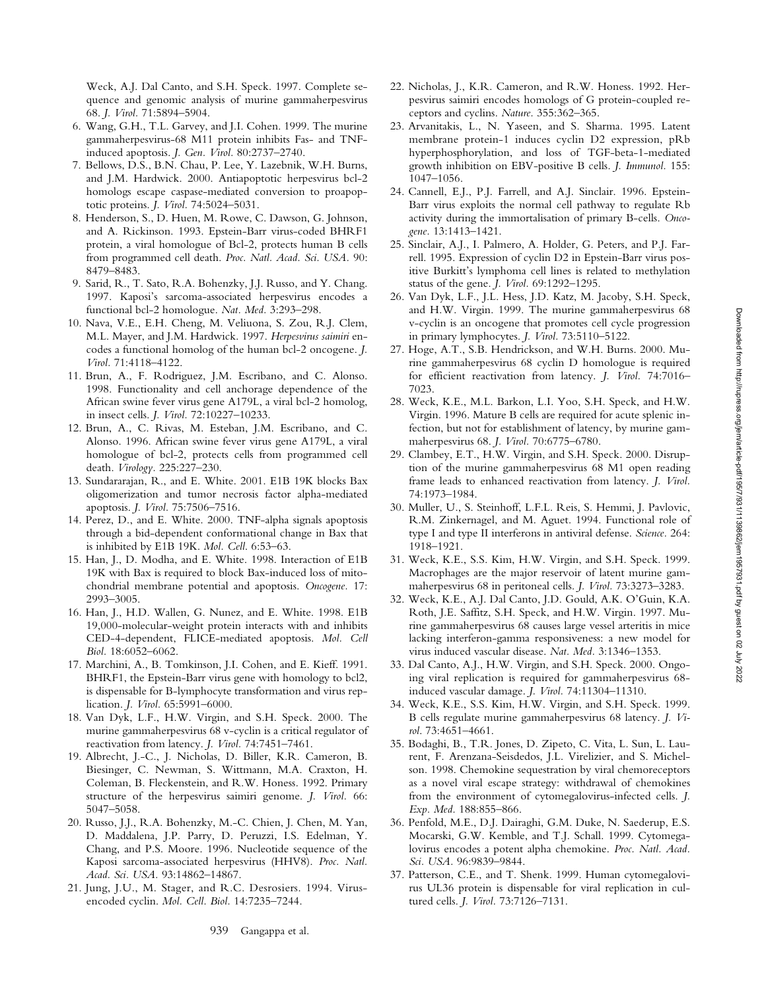Weck, A.J. Dal Canto, and S.H. Speck. 1997. Complete sequence and genomic analysis of murine gammaherpesvirus 68. *J. Virol.* 71:5894–5904.

- 6. Wang, G.H., T.L. Garvey, and J.I. Cohen. 1999. The murine gammaherpesvirus-68 M11 protein inhibits Fas- and TNFinduced apoptosis. *J. Gen. Virol.* 80:2737–2740.
- 7. Bellows, D.S., B.N. Chau, P. Lee, Y. Lazebnik, W.H. Burns, and J.M. Hardwick. 2000. Antiapoptotic herpesvirus bcl-2 homologs escape caspase-mediated conversion to proapoptotic proteins. *J. Virol.* 74:5024–5031.
- 8. Henderson, S., D. Huen, M. Rowe, C. Dawson, G. Johnson, and A. Rickinson. 1993. Epstein-Barr virus-coded BHRF1 protein, a viral homologue of Bcl-2, protects human B cells from programmed cell death. *Proc. Natl. Acad. Sci. USA.* 90: 8479–8483.
- 9. Sarid, R., T. Sato, R.A. Bohenzky, J.J. Russo, and Y. Chang. 1997. Kaposi's sarcoma-associated herpesvirus encodes a functional bcl-2 homologue. *Nat. Med.* 3:293–298.
- 10. Nava, V.E., E.H. Cheng, M. Veliuona, S. Zou, R.J. Clem, M.L. Mayer, and J.M. Hardwick. 1997. *Herpesvirus saimiri* encodes a functional homolog of the human bcl-2 oncogene. *J. Virol.* 71:4118–4122.
- 11. Brun, A., F. Rodriguez, J.M. Escribano, and C. Alonso. 1998. Functionality and cell anchorage dependence of the African swine fever virus gene A179L, a viral bcl-2 homolog, in insect cells. *J. Virol.* 72:10227–10233.
- 12. Brun, A., C. Rivas, M. Esteban, J.M. Escribano, and C. Alonso. 1996. African swine fever virus gene A179L, a viral homologue of bcl-2, protects cells from programmed cell death. *Virology.* 225:227–230.
- 13. Sundararajan, R., and E. White. 2001. E1B 19K blocks Bax oligomerization and tumor necrosis factor alpha-mediated apoptosis. *J. Virol.* 75:7506–7516.
- 14. Perez, D., and E. White. 2000. TNF-alpha signals apoptosis through a bid-dependent conformational change in Bax that is inhibited by E1B 19K. *Mol. Cell*. 6:53–63.
- 15. Han, J., D. Modha, and E. White. 1998. Interaction of E1B 19K with Bax is required to block Bax-induced loss of mitochondrial membrane potential and apoptosis. *Oncogene.* 17: 2993–3005.
- 16. Han, J., H.D. Wallen, G. Nunez, and E. White. 1998. E1B 19,000-molecular-weight protein interacts with and inhibits CED-4-dependent, FLICE-mediated apoptosis. *Mol. Cell Biol.* 18:6052–6062.
- 17. Marchini, A., B. Tomkinson, J.I. Cohen, and E. Kieff. 1991. BHRF1, the Epstein-Barr virus gene with homology to bcl2, is dispensable for B-lymphocyte transformation and virus replication. *J. Virol.* 65:5991–6000.
- 18. Van Dyk, L.F., H.W. Virgin, and S.H. Speck. 2000. The murine gammaherpesvirus 68 v-cyclin is a critical regulator of reactivation from latency. *J. Virol.* 74:7451–7461.
- 19. Albrecht, J.-C., J. Nicholas, D. Biller, K.R. Cameron, B. Biesinger, C. Newman, S. Wittmann, M.A. Craxton, H. Coleman, B. Fleckenstein, and R.W. Honess. 1992. Primary structure of the herpesvirus saimiri genome. *J. Virol.* 66: 5047–5058.
- 20. Russo, J.J., R.A. Bohenzky, M.-C. Chien, J. Chen, M. Yan, D. Maddalena, J.P. Parry, D. Peruzzi, I.S. Edelman, Y. Chang, and P.S. Moore. 1996. Nucleotide sequence of the Kaposi sarcoma-associated herpesvirus (HHV8). *Proc. Natl. Acad. Sci. USA.* 93:14862–14867.
- 21. Jung, J.U., M. Stager, and R.C. Desrosiers. 1994. Virusencoded cyclin. *Mol. Cell. Biol.* 14:7235–7244.
- 22. Nicholas, J., K.R. Cameron, and R.W. Honess. 1992. Herpesvirus saimiri encodes homologs of G protein-coupled receptors and cyclins. *Nature.* 355:362–365.
- 23. Arvanitakis, L., N. Yaseen, and S. Sharma. 1995. Latent membrane protein-1 induces cyclin D2 expression, pRb hyperphosphorylation, and loss of TGF-beta-1-mediated growth inhibition on EBV-positive B cells. *J. Immunol.* 155: 1047–1056.
- 24. Cannell, E.J., P.J. Farrell, and A.J. Sinclair. 1996. Epstein-Barr virus exploits the normal cell pathway to regulate Rb activity during the immortalisation of primary B-cells. *Oncogene.* 13:1413–1421.
- 25. Sinclair, A.J., I. Palmero, A. Holder, G. Peters, and P.J. Farrell. 1995. Expression of cyclin D2 in Epstein-Barr virus positive Burkitt's lymphoma cell lines is related to methylation status of the gene. *J. Virol.* 69:1292–1295.
- 26. Van Dyk, L.F., J.L. Hess, J.D. Katz, M. Jacoby, S.H. Speck, and H.W. Virgin. 1999. The murine gammaherpesvirus 68 v-cyclin is an oncogene that promotes cell cycle progression in primary lymphocytes. *J. Virol.* 73:5110–5122.
- 27. Hoge, A.T., S.B. Hendrickson, and W.H. Burns. 2000. Murine gammaherpesvirus 68 cyclin D homologue is required for efficient reactivation from latency. *J. Virol.* 74:7016– 7023.
- 28. Weck, K.E., M.L. Barkon, L.I. Yoo, S.H. Speck, and H.W. Virgin. 1996. Mature B cells are required for acute splenic infection, but not for establishment of latency, by murine gammaherpesvirus 68. *J. Virol.* 70:6775–6780.
- 29. Clambey, E.T., H.W. Virgin, and S.H. Speck. 2000. Disruption of the murine gammaherpesvirus 68 M1 open reading frame leads to enhanced reactivation from latency. *J. Virol.* 74:1973–1984.
- 30. Muller, U., S. Steinhoff, L.F.L. Reis, S. Hemmi, J. Pavlovic, R.M. Zinkernagel, and M. Aguet. 1994. Functional role of type I and type II interferons in antiviral defense. *Science.* 264: 1918–1921.
- 31. Weck, K.E., S.S. Kim, H.W. Virgin, and S.H. Speck. 1999. Macrophages are the major reservoir of latent murine gammaherpesvirus 68 in peritoneal cells. *J. Virol.* 73:3273–3283.
- 32. Weck, K.E., A.J. Dal Canto, J.D. Gould, A.K. O'Guin, K.A. Roth, J.E. Saffitz, S.H. Speck, and H.W. Virgin. 1997. Murine gammaherpesvirus 68 causes large vessel arteritis in mice lacking interferon-gamma responsiveness: a new model for virus induced vascular disease. *Nat. Med.* 3:1346–1353.
- 33. Dal Canto, A.J., H.W. Virgin, and S.H. Speck. 2000. Ongoing viral replication is required for gammaherpesvirus 68 induced vascular damage. *J. Virol.* 74:11304–11310.
- 34. Weck, K.E., S.S. Kim, H.W. Virgin, and S.H. Speck. 1999. B cells regulate murine gammaherpesvirus 68 latency. *J. Virol*. 73:4651–4661.
- 35. Bodaghi, B., T.R. Jones, D. Zipeto, C. Vita, L. Sun, L. Laurent, F. Arenzana-Seisdedos, J.L. Virelizier, and S. Michelson. 1998. Chemokine sequestration by viral chemoreceptors as a novel viral escape strategy: withdrawal of chemokines from the environment of cytomegalovirus-infected cells. *J. Exp. Med.* 188:855–866.
- 36. Penfold, M.E., D.J. Dairaghi, G.M. Duke, N. Saederup, E.S. Mocarski, G.W. Kemble, and T.J. Schall. 1999. Cytomegalovirus encodes a potent alpha chemokine. *Proc. Natl. Acad. Sci. USA.* 96:9839–9844.
- 37. Patterson, C.E., and T. Shenk. 1999. Human cytomegalovirus UL36 protein is dispensable for viral replication in cultured cells. *J. Virol.* 73:7126–7131.